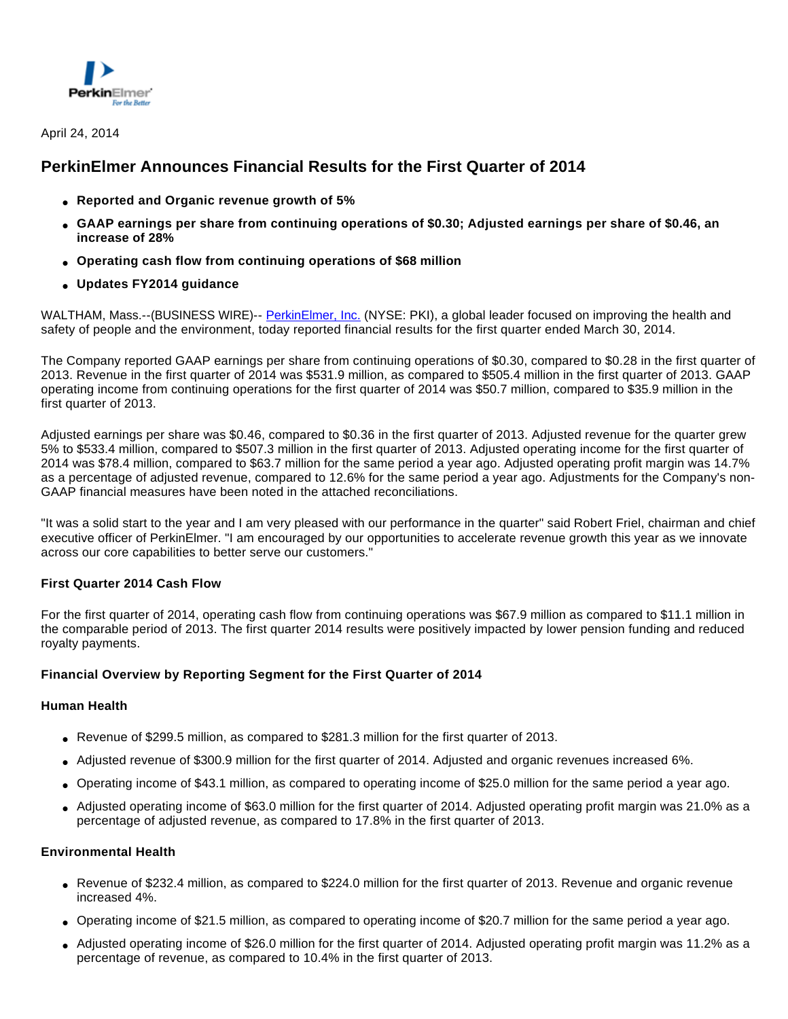

# **PerkinElmer Announces Financial Results for the First Quarter of 2014**

- **Reported and Organic revenue growth of 5%**
- **GAAP earnings per share from continuing operations of \$0.30; Adjusted earnings per share of \$0.46, an increase of 28%**
- **Operating cash flow from continuing operations of \$68 million**
- **Updates FY2014 guidance**

WALTHAM, Mass.--(BUSINESS WIRE)-- [PerkinElmer, Inc.](http://cts.businesswire.com/ct/CT?id=smartlink&url=http%3A%2F%2Fwww.perkinelmer.com&esheet=50847412&newsitemid=20140424006605&lan=en-US&anchor=PerkinElmer%2C+Inc.&index=1&md5=8139bb841339785dd1ef129229ad1308) (NYSE: PKI), a global leader focused on improving the health and safety of people and the environment, today reported financial results for the first quarter ended March 30, 2014.

The Company reported GAAP earnings per share from continuing operations of \$0.30, compared to \$0.28 in the first quarter of 2013. Revenue in the first quarter of 2014 was \$531.9 million, as compared to \$505.4 million in the first quarter of 2013. GAAP operating income from continuing operations for the first quarter of 2014 was \$50.7 million, compared to \$35.9 million in the first quarter of 2013.

Adjusted earnings per share was \$0.46, compared to \$0.36 in the first quarter of 2013. Adjusted revenue for the quarter grew 5% to \$533.4 million, compared to \$507.3 million in the first quarter of 2013. Adjusted operating income for the first quarter of 2014 was \$78.4 million, compared to \$63.7 million for the same period a year ago. Adjusted operating profit margin was 14.7% as a percentage of adjusted revenue, compared to 12.6% for the same period a year ago. Adjustments for the Company's non-GAAP financial measures have been noted in the attached reconciliations.

"It was a solid start to the year and I am very pleased with our performance in the quarter" said Robert Friel, chairman and chief executive officer of PerkinElmer. "I am encouraged by our opportunities to accelerate revenue growth this year as we innovate across our core capabilities to better serve our customers."

## **First Quarter 2014 Cash Flow**

For the first quarter of 2014, operating cash flow from continuing operations was \$67.9 million as compared to \$11.1 million in the comparable period of 2013. The first quarter 2014 results were positively impacted by lower pension funding and reduced royalty payments.

## **Financial Overview by Reporting Segment for the First Quarter of 2014**

#### **Human Health**

- Revenue of \$299.5 million, as compared to \$281.3 million for the first quarter of 2013.
- Adjusted revenue of \$300.9 million for the first quarter of 2014. Adjusted and organic revenues increased 6%.
- Operating income of \$43.1 million, as compared to operating income of \$25.0 million for the same period a year ago.
- Adjusted operating income of \$63.0 million for the first quarter of 2014. Adjusted operating profit margin was 21.0% as a percentage of adjusted revenue, as compared to 17.8% in the first quarter of 2013.

#### **Environmental Health**

- Revenue of \$232.4 million, as compared to \$224.0 million for the first quarter of 2013. Revenue and organic revenue increased 4%.
- Operating income of \$21.5 million, as compared to operating income of \$20.7 million for the same period a year ago.
- Adjusted operating income of \$26.0 million for the first quarter of 2014. Adjusted operating profit margin was 11.2% as a percentage of revenue, as compared to 10.4% in the first quarter of 2013.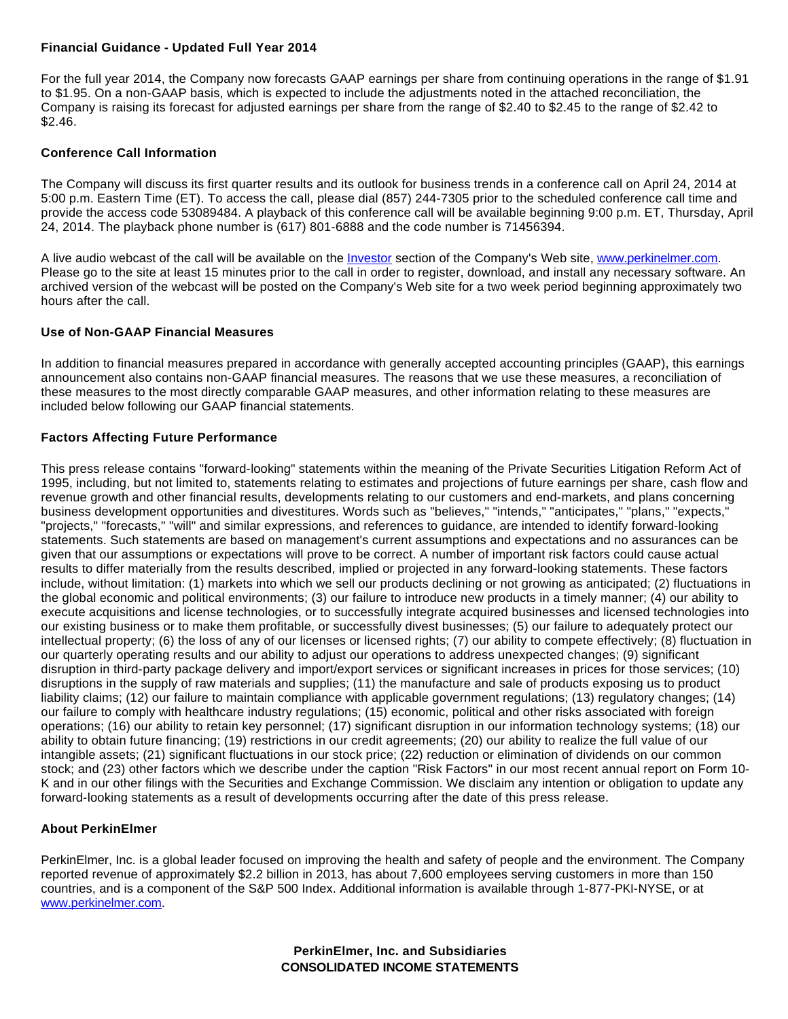#### **Financial Guidance - Updated Full Year 2014**

For the full year 2014, the Company now forecasts GAAP earnings per share from continuing operations in the range of \$1.91 to \$1.95. On a non-GAAP basis, which is expected to include the adjustments noted in the attached reconciliation, the Company is raising its forecast for adjusted earnings per share from the range of \$2.40 to \$2.45 to the range of \$2.42 to \$2.46.

### **Conference Call Information**

The Company will discuss its first quarter results and its outlook for business trends in a conference call on April 24, 2014 at 5:00 p.m. Eastern Time (ET). To access the call, please dial (857) 244-7305 prior to the scheduled conference call time and provide the access code 53089484. A playback of this conference call will be available beginning 9:00 p.m. ET, Thursday, April 24, 2014. The playback phone number is (617) 801-6888 and the code number is 71456394.

A live audio webcast of the call will be available on the [Investor](http://cts.businesswire.com/ct/CT?id=smartlink&url=http%3A%2F%2Fwww.perkinelmer.com%2Fourcompany%2Finvestors%2Fdefault.xhtml&esheet=50847412&newsitemid=20140424006605&lan=en-US&anchor=Investor&index=2&md5=6368b1df62b120e909e0d0d3d7582dd6) section of the Company's Web site, [www.perkinelmer.com.](http://cts.businesswire.com/ct/CT?id=smartlink&url=http%3A%2F%2Fwww.perkinelmer.com&esheet=50847412&newsitemid=20140424006605&lan=en-US&anchor=www.perkinelmer.com&index=3&md5=bd3a0e3722386ed17d029d5515bfd4f7) Please go to the site at least 15 minutes prior to the call in order to register, download, and install any necessary software. An archived version of the webcast will be posted on the Company's Web site for a two week period beginning approximately two hours after the call.

### **Use of Non-GAAP Financial Measures**

In addition to financial measures prepared in accordance with generally accepted accounting principles (GAAP), this earnings announcement also contains non-GAAP financial measures. The reasons that we use these measures, a reconciliation of these measures to the most directly comparable GAAP measures, and other information relating to these measures are included below following our GAAP financial statements.

### **Factors Affecting Future Performance**

This press release contains "forward-looking" statements within the meaning of the Private Securities Litigation Reform Act of 1995, including, but not limited to, statements relating to estimates and projections of future earnings per share, cash flow and revenue growth and other financial results, developments relating to our customers and end-markets, and plans concerning business development opportunities and divestitures. Words such as "believes," "intends," "anticipates," "plans," "expects," "projects," "forecasts," "will" and similar expressions, and references to guidance, are intended to identify forward-looking statements. Such statements are based on management's current assumptions and expectations and no assurances can be given that our assumptions or expectations will prove to be correct. A number of important risk factors could cause actual results to differ materially from the results described, implied or projected in any forward-looking statements. These factors include, without limitation: (1) markets into which we sell our products declining or not growing as anticipated; (2) fluctuations in the global economic and political environments; (3) our failure to introduce new products in a timely manner; (4) our ability to execute acquisitions and license technologies, or to successfully integrate acquired businesses and licensed technologies into our existing business or to make them profitable, or successfully divest businesses; (5) our failure to adequately protect our intellectual property; (6) the loss of any of our licenses or licensed rights; (7) our ability to compete effectively; (8) fluctuation in our quarterly operating results and our ability to adjust our operations to address unexpected changes; (9) significant disruption in third-party package delivery and import/export services or significant increases in prices for those services; (10) disruptions in the supply of raw materials and supplies; (11) the manufacture and sale of products exposing us to product liability claims; (12) our failure to maintain compliance with applicable government regulations; (13) regulatory changes; (14) our failure to comply with healthcare industry regulations; (15) economic, political and other risks associated with foreign operations; (16) our ability to retain key personnel; (17) significant disruption in our information technology systems; (18) our ability to obtain future financing; (19) restrictions in our credit agreements; (20) our ability to realize the full value of our intangible assets; (21) significant fluctuations in our stock price; (22) reduction or elimination of dividends on our common stock; and (23) other factors which we describe under the caption "Risk Factors" in our most recent annual report on Form 10- K and in our other filings with the Securities and Exchange Commission. We disclaim any intention or obligation to update any forward-looking statements as a result of developments occurring after the date of this press release.

## **About PerkinElmer**

PerkinElmer, Inc. is a global leader focused on improving the health and safety of people and the environment. The Company reported revenue of approximately \$2.2 billion in 2013, has about 7,600 employees serving customers in more than 150 countries, and is a component of the S&P 500 Index. Additional information is available through 1-877-PKI-NYSE, or at [www.perkinelmer.com.](http://cts.businesswire.com/ct/CT?id=smartlink&url=http%3A%2F%2Fwww.perkinelmer.com&esheet=50847412&newsitemid=20140424006605&lan=en-US&anchor=www.perkinelmer.com&index=4&md5=afbabfa1c9daebc4b11e43597e03c1fc)

> **PerkinElmer, Inc. and Subsidiaries CONSOLIDATED INCOME STATEMENTS**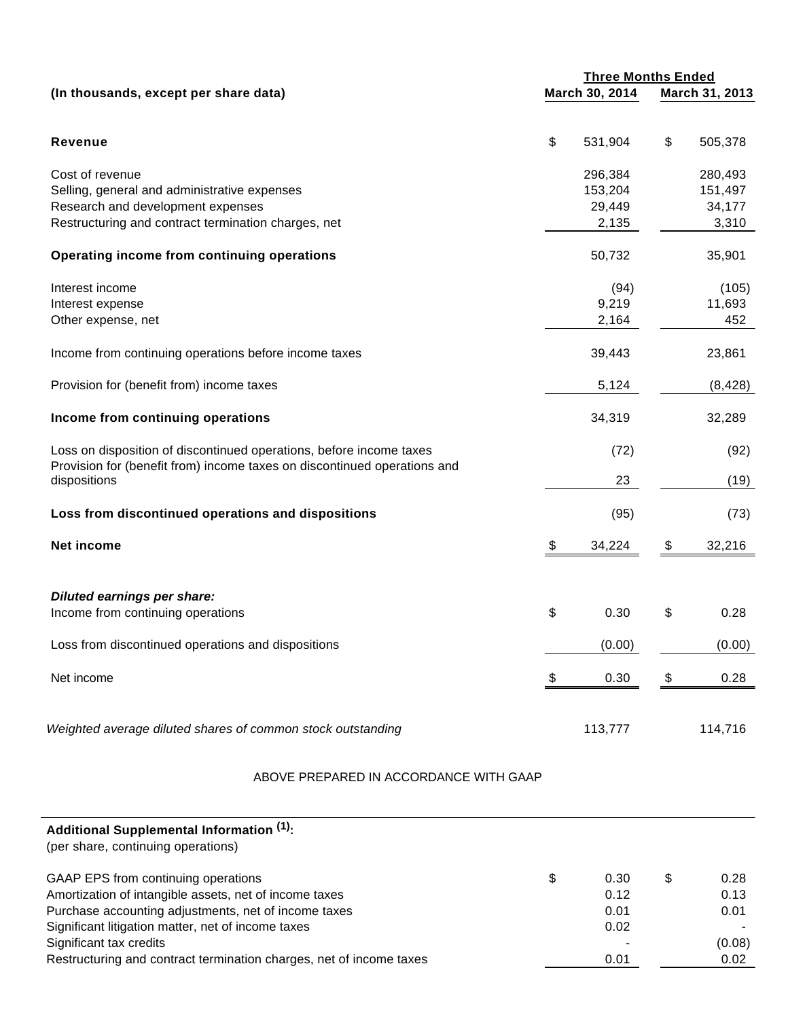|                                                                                          | <b>Three Months Ended</b> |                |                |          |  |
|------------------------------------------------------------------------------------------|---------------------------|----------------|----------------|----------|--|
| (In thousands, except per share data)                                                    |                           | March 30, 2014 | March 31, 2013 |          |  |
|                                                                                          |                           |                |                |          |  |
| Revenue                                                                                  | \$                        | 531,904        | $\frac{1}{2}$  | 505,378  |  |
| Cost of revenue                                                                          |                           | 296,384        |                | 280,493  |  |
| Selling, general and administrative expenses                                             |                           | 153,204        |                | 151,497  |  |
| Research and development expenses                                                        |                           | 29,449         |                | 34,177   |  |
| Restructuring and contract termination charges, net                                      |                           | 2,135          |                | 3,310    |  |
| Operating income from continuing operations                                              |                           | 50,732         |                | 35,901   |  |
| Interest income                                                                          |                           | (94)           |                | (105)    |  |
| Interest expense                                                                         |                           | 9,219          |                | 11,693   |  |
| Other expense, net                                                                       |                           | 2,164          |                | 452      |  |
| Income from continuing operations before income taxes                                    |                           | 39,443         |                | 23,861   |  |
| Provision for (benefit from) income taxes                                                |                           | 5,124          |                | (8, 428) |  |
| Income from continuing operations                                                        |                           | 34,319         |                | 32,289   |  |
| Loss on disposition of discontinued operations, before income taxes                      |                           | (72)           |                | (92)     |  |
| Provision for (benefit from) income taxes on discontinued operations and<br>dispositions |                           | 23             |                | (19)     |  |
| Loss from discontinued operations and dispositions                                       |                           | (95)           |                | (73)     |  |
| <b>Net income</b>                                                                        | \$                        | 34,224         | \$             | 32,216   |  |
| Diluted earnings per share:                                                              |                           |                |                |          |  |
| Income from continuing operations                                                        | \$                        | 0.30           | \$             | 0.28     |  |
| Loss from discontinued operations and dispositions                                       |                           | (0.00)         |                | (0.00)   |  |
| Net income                                                                               | \$                        | 0.30           | \$             | 0.28     |  |
| Weighted average diluted shares of common stock outstanding                              |                           | 113,777        |                | 114,716  |  |
| ABOVE PREPARED IN ACCORDANCE WITH GAAP                                                   |                           |                |                |          |  |
|                                                                                          |                           |                |                |          |  |
| Additional Supplemental Information (1):<br>(per share, continuing operations)           |                           |                |                |          |  |

| GAAP EPS from continuing operations                                 | 0.30 | S | 0.28   |
|---------------------------------------------------------------------|------|---|--------|
| Amortization of intangible assets, net of income taxes              | 0.12 |   | 0.13   |
| Purchase accounting adjustments, net of income taxes                | 0.01 |   | 0.01   |
| Significant litigation matter, net of income taxes                  | 0.02 |   |        |
| Significant tax credits                                             |      |   | (0.08) |
| Restructuring and contract termination charges, net of income taxes | 0.01 |   | 0.02   |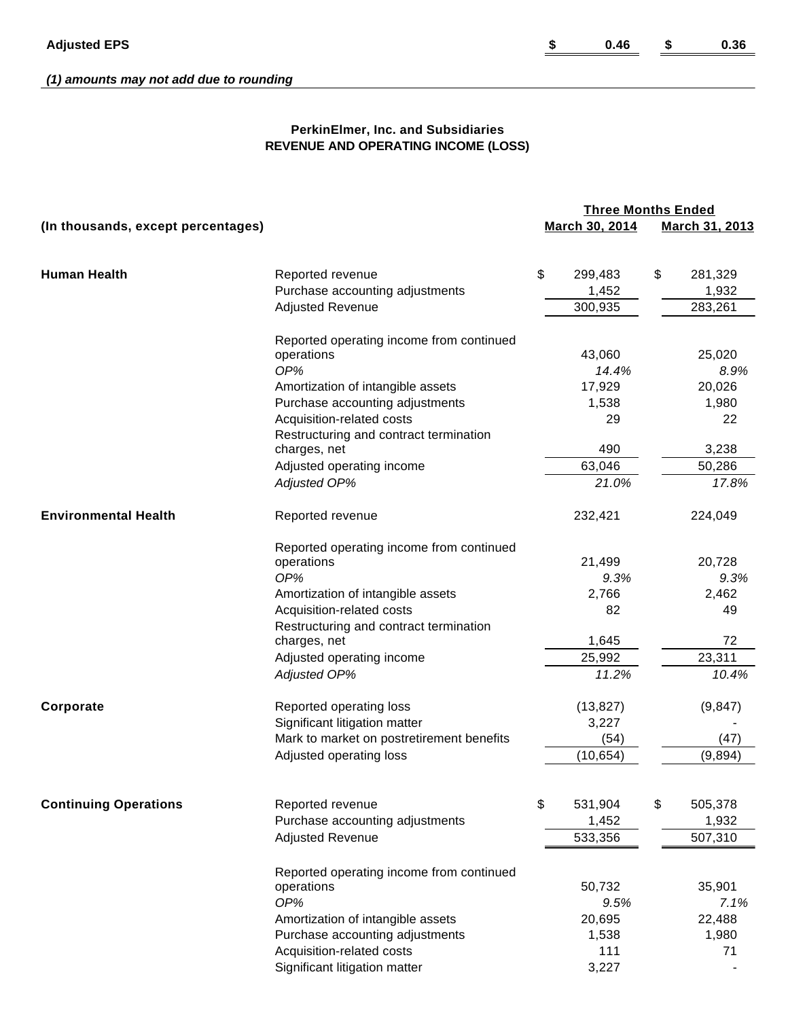**(1) amounts may not add due to rounding**

## **PerkinElmer, Inc. and Subsidiaries REVENUE AND OPERATING INCOME (LOSS)**

|                                    |                                                                      | <b>Three Months Ended</b> |                 |    |                 |
|------------------------------------|----------------------------------------------------------------------|---------------------------|-----------------|----|-----------------|
| (In thousands, except percentages) |                                                                      |                           | March 30, 2014  |    | March 31, 2013  |
| <b>Human Health</b>                | Reported revenue                                                     | \$                        | 299,483         | \$ | 281,329         |
|                                    | Purchase accounting adjustments                                      |                           | 1,452           |    | 1,932           |
|                                    | <b>Adjusted Revenue</b>                                              |                           | 300,935         |    | 283,261         |
|                                    |                                                                      |                           |                 |    |                 |
|                                    | Reported operating income from continued                             |                           |                 |    |                 |
|                                    | operations                                                           |                           | 43,060          |    | 25,020          |
|                                    | OP%                                                                  |                           | 14.4%           |    | 8.9%            |
|                                    | Amortization of intangible assets<br>Purchase accounting adjustments |                           | 17,929<br>1,538 |    | 20,026<br>1,980 |
|                                    | Acquisition-related costs                                            |                           | 29              |    | 22              |
|                                    | Restructuring and contract termination                               |                           |                 |    |                 |
|                                    | charges, net                                                         |                           | 490             |    | 3,238           |
|                                    | Adjusted operating income                                            |                           | 63,046          |    | 50,286          |
|                                    | Adjusted OP%                                                         |                           | 21.0%           |    | 17.8%           |
| <b>Environmental Health</b>        | Reported revenue                                                     |                           | 232,421         |    | 224,049         |
|                                    | Reported operating income from continued                             |                           |                 |    |                 |
|                                    | operations                                                           |                           | 21,499          |    | 20,728          |
|                                    | OP%                                                                  |                           | 9.3%            |    | 9.3%            |
|                                    | Amortization of intangible assets                                    |                           | 2,766           |    | 2,462           |
|                                    | Acquisition-related costs                                            |                           | 82              |    | 49              |
|                                    | Restructuring and contract termination                               |                           |                 |    |                 |
|                                    | charges, net                                                         |                           | 1,645           |    | 72              |
|                                    | Adjusted operating income                                            |                           | 25,992          |    | 23,311          |
|                                    | Adjusted OP%                                                         |                           | 11.2%           |    | 10.4%           |
| Corporate                          | Reported operating loss                                              |                           | (13, 827)       |    | (9, 847)        |
|                                    | Significant litigation matter                                        |                           | 3,227           |    |                 |
|                                    | Mark to market on postretirement benefits                            |                           | (54)            |    | (47)            |
|                                    | Adjusted operating loss                                              |                           | (10, 654)       |    | (9,894)         |
|                                    |                                                                      |                           |                 |    |                 |
| <b>Continuing Operations</b>       | Reported revenue                                                     | $\mathfrak{S}$            | 531,904         | \$ | 505,378         |
|                                    | Purchase accounting adjustments                                      |                           | 1,452           |    | 1,932           |
|                                    | <b>Adjusted Revenue</b>                                              |                           | 533,356         |    | 507,310         |
|                                    | Reported operating income from continued                             |                           |                 |    |                 |
|                                    | operations                                                           |                           | 50,732          |    | 35,901          |
|                                    | OP%                                                                  |                           | 9.5%            |    | 7.1%            |
|                                    | Amortization of intangible assets                                    |                           | 20,695          |    | 22,488          |
|                                    | Purchase accounting adjustments                                      |                           | 1,538           |    | 1,980           |
|                                    | Acquisition-related costs                                            |                           | 111             |    | 71              |
|                                    | Significant litigation matter                                        |                           | 3,227           |    |                 |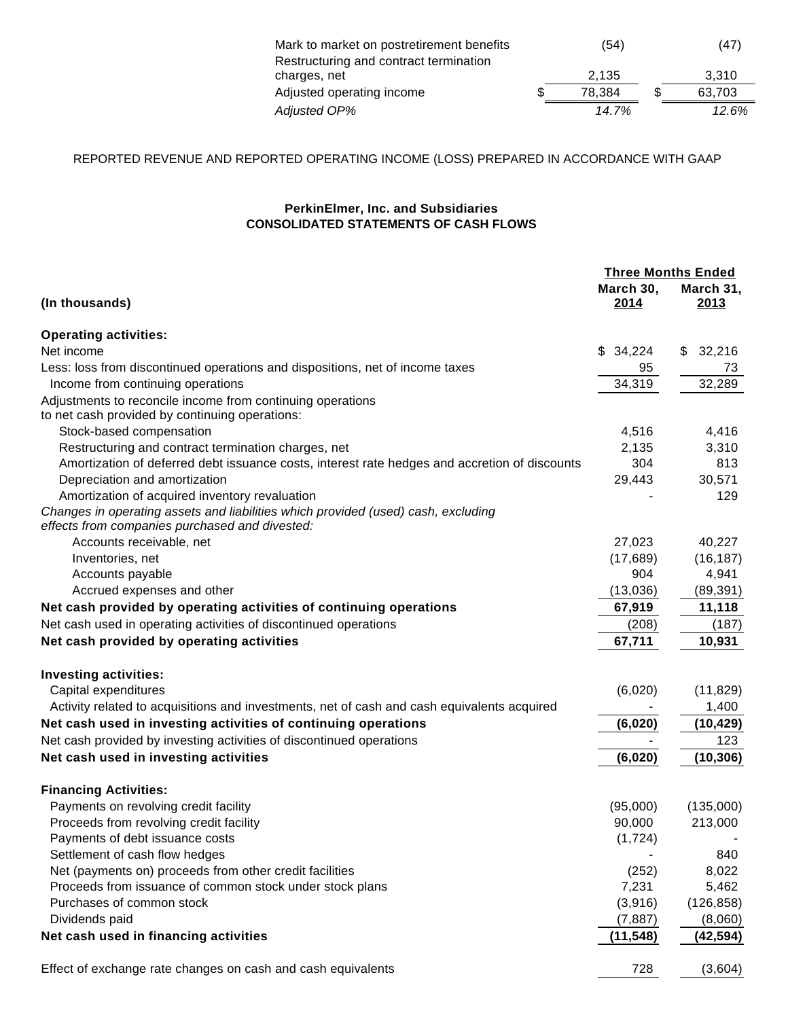| Mark to market on postretirement benefits | (54)   | (47)   |
|-------------------------------------------|--------|--------|
| Restructuring and contract termination    |        |        |
| charges, net                              | 2.135  | 3.310  |
| Adjusted operating income                 | 78.384 | 63.703 |
| <b>Adjusted OP%</b>                       | 14.7%  | 12.6%  |

# REPORTED REVENUE AND REPORTED OPERATING INCOME (LOSS) PREPARED IN ACCORDANCE WITH GAAP

## **PerkinElmer, Inc. and Subsidiaries CONSOLIDATED STATEMENTS OF CASH FLOWS**

|                                                                                               |             | <b>Three Months Ended</b> |
|-----------------------------------------------------------------------------------------------|-------------|---------------------------|
|                                                                                               | March 30,   | March 31,                 |
| (In thousands)                                                                                | <u>2014</u> | 2013                      |
| <b>Operating activities:</b>                                                                  |             |                           |
| Net income                                                                                    | \$34,224    | 32,216<br>\$              |
| Less: loss from discontinued operations and dispositions, net of income taxes                 | 95          | 73                        |
| Income from continuing operations                                                             | 34,319      | 32,289                    |
| Adjustments to reconcile income from continuing operations                                    |             |                           |
| to net cash provided by continuing operations:                                                |             |                           |
| Stock-based compensation                                                                      | 4,516       | 4,416                     |
| Restructuring and contract termination charges, net                                           | 2,135       | 3,310                     |
| Amortization of deferred debt issuance costs, interest rate hedges and accretion of discounts | 304         | 813                       |
| Depreciation and amortization                                                                 | 29,443      | 30,571                    |
| Amortization of acquired inventory revaluation                                                |             | 129                       |
| Changes in operating assets and liabilities which provided (used) cash, excluding             |             |                           |
| effects from companies purchased and divested:                                                |             |                           |
| Accounts receivable, net                                                                      | 27,023      | 40,227                    |
| Inventories, net                                                                              | (17,689)    | (16, 187)                 |
| Accounts payable                                                                              | 904         | 4,941                     |
| Accrued expenses and other                                                                    | (13,036)    | (89, 391)                 |
| Net cash provided by operating activities of continuing operations                            | 67,919      | 11,118                    |
| Net cash used in operating activities of discontinued operations                              | (208)       | (187)                     |
| Net cash provided by operating activities                                                     | 67,711      | 10,931                    |
| <b>Investing activities:</b>                                                                  |             |                           |
| Capital expenditures                                                                          | (6,020)     | (11, 829)                 |
| Activity related to acquisitions and investments, net of cash and cash equivalents acquired   |             | 1,400                     |
| Net cash used in investing activities of continuing operations                                | (6,020)     | (10, 429)                 |
| Net cash provided by investing activities of discontinued operations                          |             | 123                       |
| Net cash used in investing activities                                                         | (6,020)     | (10, 306)                 |
|                                                                                               |             |                           |
| <b>Financing Activities:</b>                                                                  |             |                           |
| Payments on revolving credit facility                                                         | (95,000)    | (135,000)                 |
| Proceeds from revolving credit facility                                                       | 90,000      | 213,000                   |
| Payments of debt issuance costs                                                               | (1,724)     |                           |
| Settlement of cash flow hedges                                                                |             | 840                       |
| Net (payments on) proceeds from other credit facilities                                       | (252)       | 8,022                     |
| Proceeds from issuance of common stock under stock plans                                      | 7,231       | 5,462                     |
| Purchases of common stock                                                                     | (3,916)     | (126, 858)                |
| Dividends paid                                                                                | (7, 887)    | (8,060)                   |
| Net cash used in financing activities                                                         | (11, 548)   | (42, 594)                 |
| Effect of exchange rate changes on cash and cash equivalents                                  | 728         | (3,604)                   |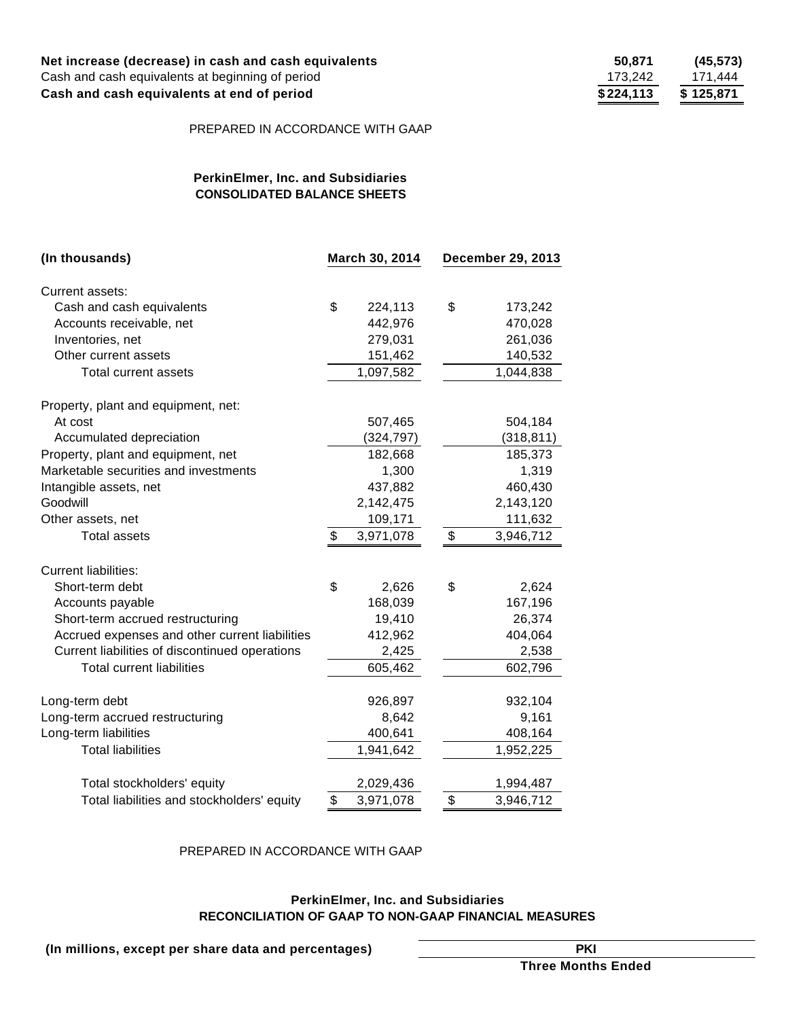| 50,871    | (45, 573) |
|-----------|-----------|
| 173,242   | 171,444   |
| 224,113 ( | \$125,871 |

## PREPARED IN ACCORDANCE WITH GAAP

## **PerkinElmer, Inc. and Subsidiaries CONSOLIDATED BALANCE SHEETS**

| (In thousands)                                 | March 30, 2014 |            | <b>December 29, 2013</b> |            |  |
|------------------------------------------------|----------------|------------|--------------------------|------------|--|
| Current assets:                                |                |            |                          |            |  |
| Cash and cash equivalents                      | \$             | 224,113    | \$                       | 173,242    |  |
| Accounts receivable, net                       |                | 442,976    |                          | 470,028    |  |
| Inventories, net                               |                | 279,031    |                          | 261,036    |  |
| Other current assets                           |                | 151,462    |                          | 140,532    |  |
| <b>Total current assets</b>                    |                | 1,097,582  |                          | 1,044,838  |  |
| Property, plant and equipment, net:            |                |            |                          |            |  |
| At cost                                        |                | 507,465    |                          | 504,184    |  |
| Accumulated depreciation                       |                | (324, 797) |                          | (318, 811) |  |
| Property, plant and equipment, net             |                | 182,668    |                          | 185,373    |  |
| Marketable securities and investments          |                | 1,300      |                          | 1,319      |  |
| Intangible assets, net                         |                | 437,882    |                          | 460,430    |  |
| Goodwill                                       |                | 2,142,475  |                          | 2,143,120  |  |
| Other assets, net                              |                | 109,171    |                          | 111,632    |  |
| <b>Total assets</b>                            | \$             | 3,971,078  | \$                       | 3,946,712  |  |
| <b>Current liabilities:</b>                    |                |            |                          |            |  |
| Short-term debt                                | \$             | 2,626      | \$                       | 2,624      |  |
| Accounts payable                               |                | 168,039    |                          | 167,196    |  |
| Short-term accrued restructuring               |                | 19,410     |                          | 26,374     |  |
| Accrued expenses and other current liabilities |                | 412,962    |                          | 404,064    |  |
| Current liabilities of discontinued operations |                | 2,425      |                          | 2,538      |  |
| <b>Total current liabilities</b>               |                | 605,462    |                          | 602,796    |  |
| Long-term debt                                 |                | 926,897    |                          | 932,104    |  |
| Long-term accrued restructuring                |                | 8,642      |                          | 9,161      |  |
| Long-term liabilities                          |                | 400,641    |                          | 408,164    |  |
| <b>Total liabilities</b>                       |                | 1,941,642  |                          | 1,952,225  |  |
| Total stockholders' equity                     |                | 2,029,436  |                          | 1,994,487  |  |
| Total liabilities and stockholders' equity     | \$             | 3,971,078  | \$                       | 3,946,712  |  |

#### PREPARED IN ACCORDANCE WITH GAAP

### **PerkinElmer, Inc. and Subsidiaries RECONCILIATION OF GAAP TO NON-GAAP FINANCIAL MEASURES**

## **(In millions, except per share data and percentages) PKI**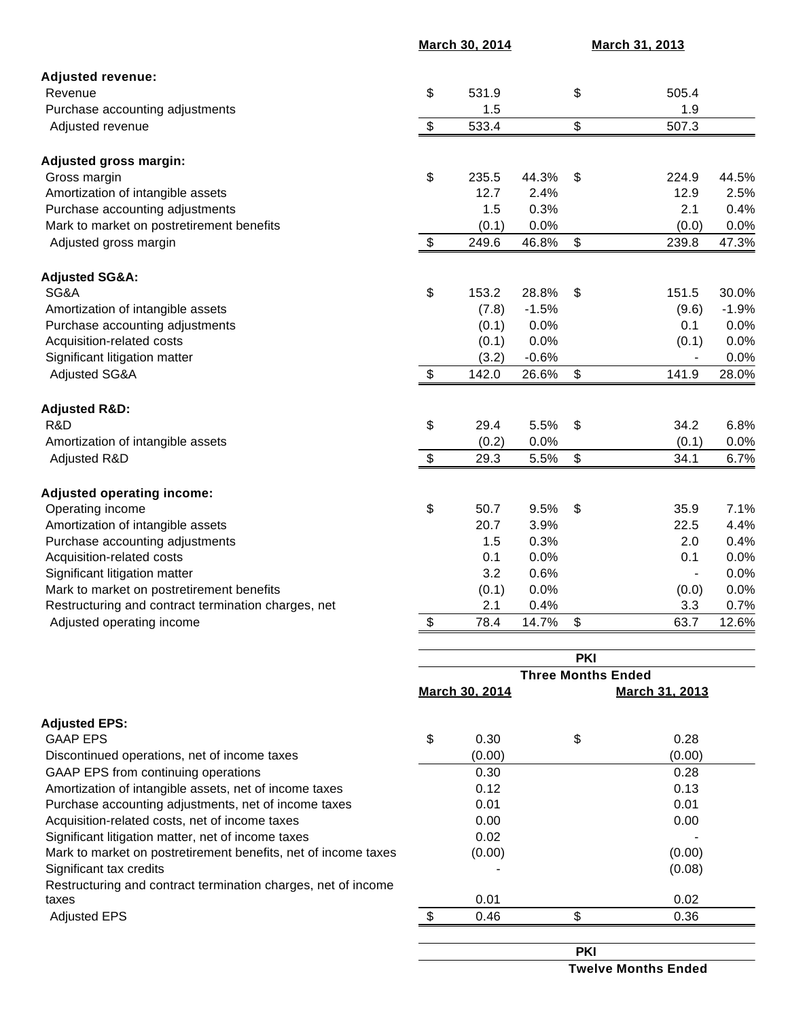|                                                                |                                           | March 30, 2014 |         |               | March 31, 2013            |         |
|----------------------------------------------------------------|-------------------------------------------|----------------|---------|---------------|---------------------------|---------|
| <b>Adjusted revenue:</b>                                       |                                           |                |         |               |                           |         |
| Revenue                                                        | \$                                        | 531.9          |         | \$            | 505.4                     |         |
| Purchase accounting adjustments                                |                                           | 1.5            |         |               | 1.9                       |         |
| Adjusted revenue                                               | \$                                        | 533.4          |         | \$            | 507.3                     |         |
| <b>Adjusted gross margin:</b>                                  |                                           |                |         |               |                           |         |
| Gross margin                                                   | \$                                        | 235.5          | 44.3%   | \$            | 224.9                     | 44.5%   |
| Amortization of intangible assets                              |                                           | 12.7           | 2.4%    |               | 12.9                      | 2.5%    |
| Purchase accounting adjustments                                |                                           | 1.5            | 0.3%    |               | 2.1                       | 0.4%    |
| Mark to market on postretirement benefits                      |                                           | (0.1)          | 0.0%    |               | (0.0)                     | 0.0%    |
| Adjusted gross margin                                          | \$                                        | 249.6          | 46.8%   | \$            | 239.8                     | 47.3%   |
| <b>Adjusted SG&amp;A:</b>                                      |                                           |                |         |               |                           |         |
| SG&A                                                           | \$                                        | 153.2          | 28.8%   | \$            | 151.5                     | 30.0%   |
| Amortization of intangible assets                              |                                           | (7.8)          | $-1.5%$ |               | (9.6)                     | $-1.9%$ |
| Purchase accounting adjustments                                |                                           | (0.1)          | 0.0%    |               | 0.1                       | 0.0%    |
| Acquisition-related costs                                      |                                           | (0.1)          | 0.0%    |               | (0.1)                     | 0.0%    |
| Significant litigation matter                                  |                                           | (3.2)          | $-0.6%$ |               |                           | 0.0%    |
| Adjusted SG&A                                                  | $\, \, \raisebox{12pt}{$\scriptstyle \$}$ | 142.0          | 26.6%   | \$            | 141.9                     | 28.0%   |
| <b>Adjusted R&amp;D:</b>                                       |                                           |                |         |               |                           |         |
| R&D                                                            | \$                                        | 29.4           | 5.5%    | $\frac{1}{2}$ | 34.2                      | 6.8%    |
| Amortization of intangible assets                              |                                           | (0.2)          | 0.0%    |               | (0.1)                     | 0.0%    |
| Adjusted R&D                                                   | $\, \, \raisebox{12pt}{$\scriptstyle \$}$ | 29.3           | 5.5%    | \$            | 34.1                      | 6.7%    |
|                                                                |                                           |                |         |               |                           |         |
| <b>Adjusted operating income:</b>                              |                                           | 50.7           | 9.5%    | \$            | 35.9                      | 7.1%    |
| Operating income<br>Amortization of intangible assets          | \$                                        | 20.7           | 3.9%    |               | 22.5                      | 4.4%    |
| Purchase accounting adjustments                                |                                           | 1.5            | 0.3%    |               | 2.0                       | 0.4%    |
| Acquisition-related costs                                      |                                           | 0.1            | 0.0%    |               | 0.1                       | 0.0%    |
| Significant litigation matter                                  |                                           | 3.2            | 0.6%    |               |                           | 0.0%    |
| Mark to market on postretirement benefits                      |                                           | (0.1)          | 0.0%    |               | (0.0)                     | 0.0%    |
| Restructuring and contract termination charges, net            |                                           | 2.1            | 0.4%    |               | 3.3                       | 0.7%    |
| Adjusted operating income                                      | \$                                        | 78.4           | 14.7%   | \$            | 63.7                      | 12.6%   |
|                                                                |                                           |                |         |               |                           |         |
|                                                                |                                           |                |         | <b>PKI</b>    | <b>Three Months Ended</b> |         |
|                                                                |                                           | March 30, 2014 |         |               | March 31, 2013            |         |
| <b>Adjusted EPS:</b>                                           |                                           |                |         |               |                           |         |
| <b>GAAP EPS</b>                                                | \$                                        | 0.30           |         | \$            | 0.28                      |         |
| Discontinued operations, net of income taxes                   |                                           | (0.00)         |         |               | (0.00)                    |         |
| GAAP EPS from continuing operations                            |                                           | 0.30           |         |               | 0.28                      |         |
| Amortization of intangible assets, net of income taxes         |                                           | 0.12           |         |               | 0.13                      |         |
| Purchase accounting adjustments, net of income taxes           |                                           | 0.01           |         |               | 0.01                      |         |
| Acquisition-related costs, net of income taxes                 |                                           | 0.00           |         |               | 0.00                      |         |
| Significant litigation matter, net of income taxes             |                                           | 0.02           |         |               |                           |         |
| Mark to market on postretirement benefits, net of income taxes |                                           | (0.00)         |         |               | (0.00)                    |         |
| Significant tax credits                                        |                                           |                |         |               | (0.08)                    |         |
| Restructuring and contract termination charges, net of income  |                                           |                |         |               |                           |         |
| taxes                                                          |                                           | 0.01           |         |               | 0.02                      |         |
| <b>Adjusted EPS</b>                                            | \$                                        | 0.46           |         | \$            | 0.36                      |         |
|                                                                |                                           |                |         | <b>PKI</b>    |                           |         |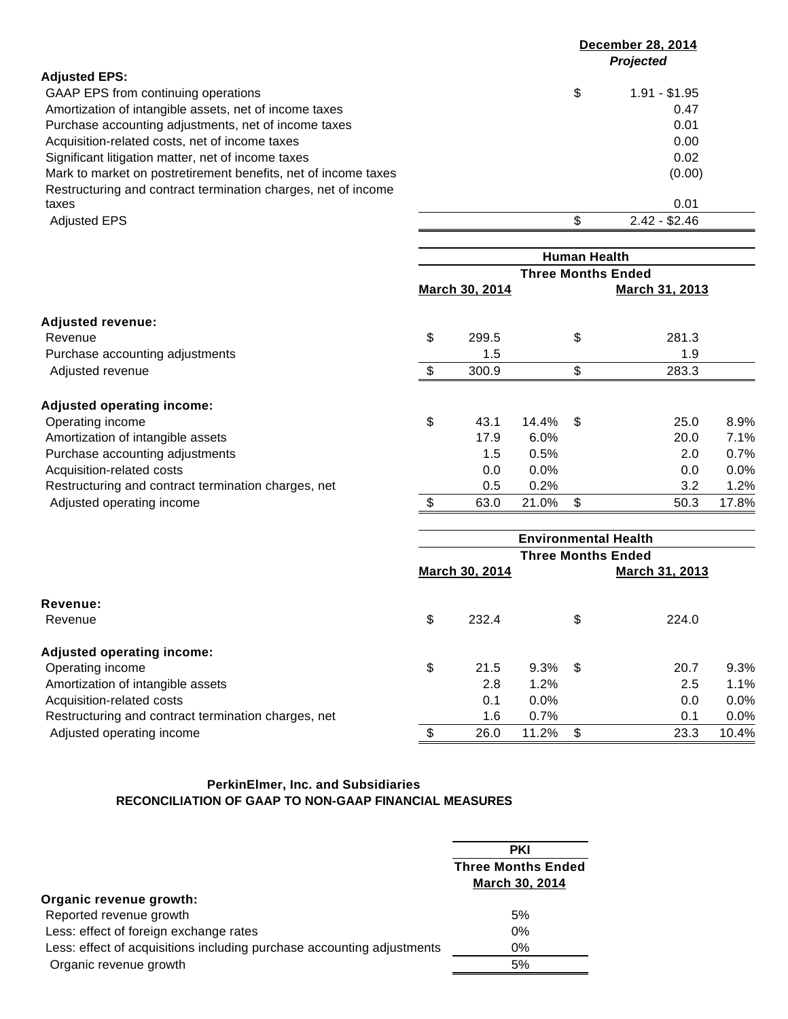|                                                                | <b>December 28, 2014</b><br>Projected |  |
|----------------------------------------------------------------|---------------------------------------|--|
| <b>Adjusted EPS:</b>                                           |                                       |  |
| GAAP EPS from continuing operations                            | \$<br>$1.91 - $1.95$                  |  |
| Amortization of intangible assets, net of income taxes         | 0.47                                  |  |
| Purchase accounting adjustments, net of income taxes           | 0.01                                  |  |
| Acquisition-related costs, net of income taxes                 | 0.00                                  |  |
| Significant litigation matter, net of income taxes             | 0.02                                  |  |
| Mark to market on postretirement benefits, net of income taxes | (0.00)                                |  |
| Restructuring and contract termination charges, net of income  |                                       |  |
| taxes                                                          | 0.01                                  |  |
| <b>Adjusted EPS</b>                                            | \$<br>$2.42 - $2.46$                  |  |

| March 30, 2014 |       |      | <b>Three Months Ended</b><br>March 31, 2013 |         |
|----------------|-------|------|---------------------------------------------|---------|
|                |       |      |                                             |         |
|                |       |      |                                             |         |
|                |       |      |                                             |         |
| 299.5          |       | \$   | 281.3                                       |         |
| 1.5            |       |      | 1.9                                         |         |
| 300.9          |       | \$   | 283.3                                       |         |
|                |       |      |                                             |         |
| 43.1           | 14.4% | - \$ | 25.0                                        | 8.9%    |
| 17.9           | 6.0%  |      | 20.0                                        | 7.1%    |
| 1.5            | 0.5%  |      | 2.0                                         | 0.7%    |
| 0.0            | 0.0%  |      | 0.0                                         | $0.0\%$ |
| 0.5            | 0.2%  |      | 3.2                                         | 1.2%    |
| 63.0           | 21.0% | \$   | 50.3                                        | 17.8%   |
|                |       |      |                                             |         |

|                                                     | <b>Environmental Health</b> |                           |       |      |                |         |  |
|-----------------------------------------------------|-----------------------------|---------------------------|-------|------|----------------|---------|--|
|                                                     |                             | <b>Three Months Ended</b> |       |      |                |         |  |
|                                                     |                             | March 30, 2014            |       |      | March 31, 2013 |         |  |
| Revenue:                                            |                             |                           |       |      |                |         |  |
| Revenue                                             | \$                          | 232.4                     |       | \$   | 224.0          |         |  |
| <b>Adjusted operating income:</b>                   |                             |                           |       |      |                |         |  |
| Operating income                                    | \$                          | 21.5                      | 9.3%  | - \$ | 20.7           | 9.3%    |  |
| Amortization of intangible assets                   |                             | 2.8                       | 1.2%  |      | 2.5            | $1.1\%$ |  |
| Acquisition-related costs                           |                             | 0.1                       | 0.0%  |      | 0.0            | $0.0\%$ |  |
| Restructuring and contract termination charges, net |                             | 1.6                       | 0.7%  |      | 0.1            | $0.0\%$ |  |
| Adjusted operating income                           | \$                          | 26.0                      | 11.2% | \$   | 23.3           | 10.4%   |  |

## **PerkinElmer, Inc. and Subsidiaries RECONCILIATION OF GAAP TO NON-GAAP FINANCIAL MEASURES**

|                                                                        | <b>PKI</b>                                         |
|------------------------------------------------------------------------|----------------------------------------------------|
|                                                                        | <b>Three Months Ended</b><br><b>March 30, 2014</b> |
| Organic revenue growth:                                                |                                                    |
| Reported revenue growth                                                | 5%                                                 |
| Less: effect of foreign exchange rates                                 | 0%                                                 |
| Less: effect of acquisitions including purchase accounting adjustments | 0%                                                 |
| Organic revenue growth                                                 | 5%                                                 |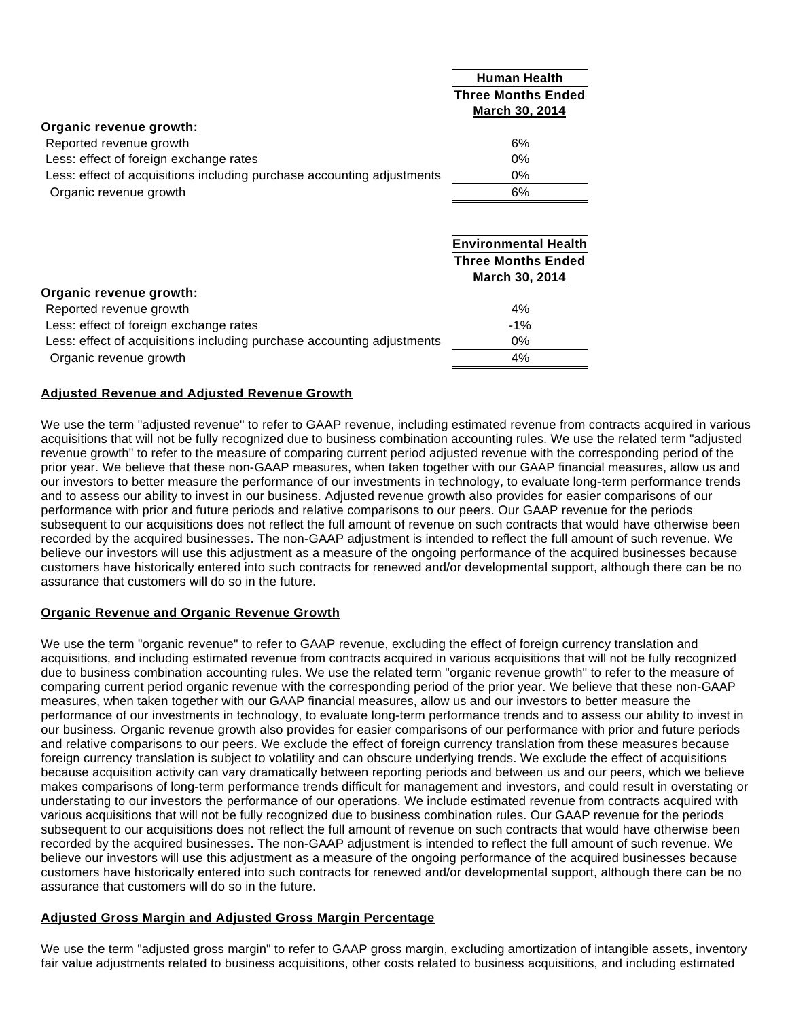|                                                                        | <b>Human Health</b>       |
|------------------------------------------------------------------------|---------------------------|
|                                                                        | <b>Three Months Ended</b> |
|                                                                        | March 30, 2014            |
| Organic revenue growth:                                                |                           |
| Reported revenue growth                                                | 6%                        |
| Less: effect of foreign exchange rates                                 | $0\%$                     |
| Less: effect of acquisitions including purchase accounting adjustments | $0\%$                     |
| Organic revenue growth                                                 | 6%                        |

|                                                                        | <b>Environmental Health</b><br><b>Three Months Ended</b><br><b>March 30, 2014</b> |
|------------------------------------------------------------------------|-----------------------------------------------------------------------------------|
| Organic revenue growth:                                                |                                                                                   |
| Reported revenue growth                                                | 4%                                                                                |
| Less: effect of foreign exchange rates                                 | $-1%$                                                                             |
| Less: effect of acquisitions including purchase accounting adjustments | $0\%$                                                                             |
| Organic revenue growth                                                 | 4%                                                                                |

### **Adjusted Revenue and Adjusted Revenue Growth**

We use the term "adjusted revenue" to refer to GAAP revenue, including estimated revenue from contracts acquired in various acquisitions that will not be fully recognized due to business combination accounting rules. We use the related term "adjusted revenue growth" to refer to the measure of comparing current period adjusted revenue with the corresponding period of the prior year. We believe that these non-GAAP measures, when taken together with our GAAP financial measures, allow us and our investors to better measure the performance of our investments in technology, to evaluate long-term performance trends and to assess our ability to invest in our business. Adjusted revenue growth also provides for easier comparisons of our performance with prior and future periods and relative comparisons to our peers. Our GAAP revenue for the periods subsequent to our acquisitions does not reflect the full amount of revenue on such contracts that would have otherwise been recorded by the acquired businesses. The non-GAAP adjustment is intended to reflect the full amount of such revenue. We believe our investors will use this adjustment as a measure of the ongoing performance of the acquired businesses because customers have historically entered into such contracts for renewed and/or developmental support, although there can be no assurance that customers will do so in the future.

#### **Organic Revenue and Organic Revenue Growth**

We use the term "organic revenue" to refer to GAAP revenue, excluding the effect of foreign currency translation and acquisitions, and including estimated revenue from contracts acquired in various acquisitions that will not be fully recognized due to business combination accounting rules. We use the related term "organic revenue growth" to refer to the measure of comparing current period organic revenue with the corresponding period of the prior year. We believe that these non-GAAP measures, when taken together with our GAAP financial measures, allow us and our investors to better measure the performance of our investments in technology, to evaluate long-term performance trends and to assess our ability to invest in our business. Organic revenue growth also provides for easier comparisons of our performance with prior and future periods and relative comparisons to our peers. We exclude the effect of foreign currency translation from these measures because foreign currency translation is subject to volatility and can obscure underlying trends. We exclude the effect of acquisitions because acquisition activity can vary dramatically between reporting periods and between us and our peers, which we believe makes comparisons of long-term performance trends difficult for management and investors, and could result in overstating or understating to our investors the performance of our operations. We include estimated revenue from contracts acquired with various acquisitions that will not be fully recognized due to business combination rules. Our GAAP revenue for the periods subsequent to our acquisitions does not reflect the full amount of revenue on such contracts that would have otherwise been recorded by the acquired businesses. The non-GAAP adjustment is intended to reflect the full amount of such revenue. We believe our investors will use this adjustment as a measure of the ongoing performance of the acquired businesses because customers have historically entered into such contracts for renewed and/or developmental support, although there can be no assurance that customers will do so in the future.

## **Adjusted Gross Margin and Adjusted Gross Margin Percentage**

We use the term "adjusted gross margin" to refer to GAAP gross margin, excluding amortization of intangible assets, inventory fair value adjustments related to business acquisitions, other costs related to business acquisitions, and including estimated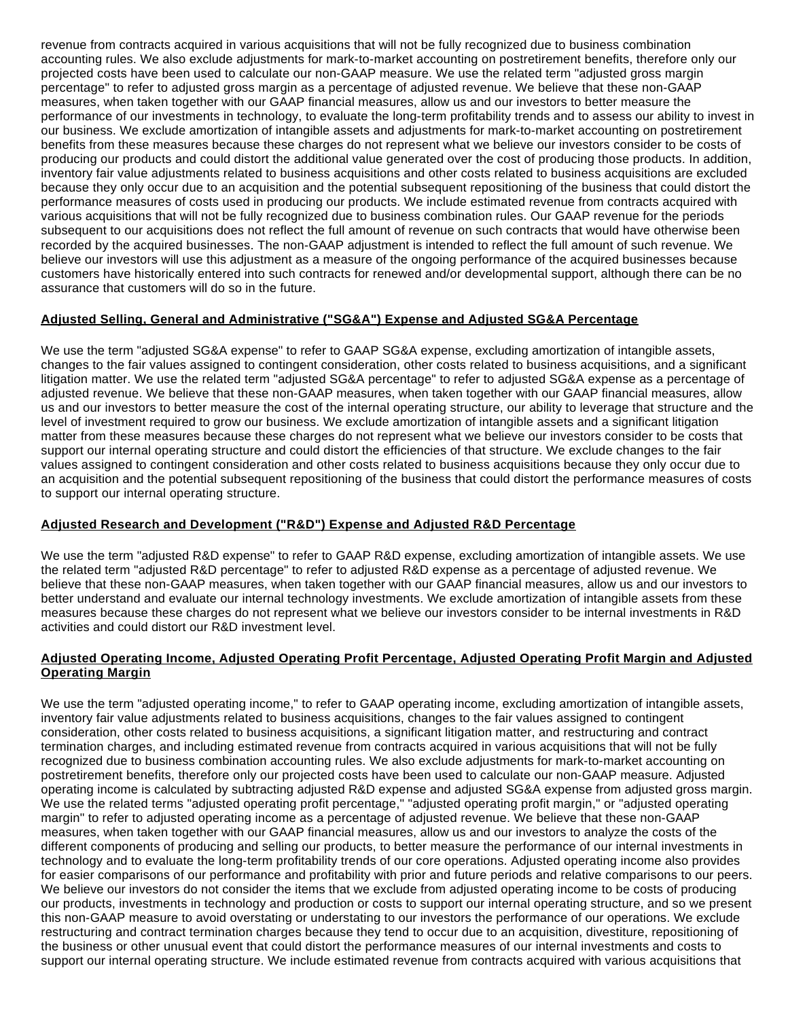revenue from contracts acquired in various acquisitions that will not be fully recognized due to business combination accounting rules. We also exclude adjustments for mark-to-market accounting on postretirement benefits, therefore only our projected costs have been used to calculate our non-GAAP measure. We use the related term "adjusted gross margin percentage" to refer to adjusted gross margin as a percentage of adjusted revenue. We believe that these non-GAAP measures, when taken together with our GAAP financial measures, allow us and our investors to better measure the performance of our investments in technology, to evaluate the long-term profitability trends and to assess our ability to invest in our business. We exclude amortization of intangible assets and adjustments for mark-to-market accounting on postretirement benefits from these measures because these charges do not represent what we believe our investors consider to be costs of producing our products and could distort the additional value generated over the cost of producing those products. In addition, inventory fair value adjustments related to business acquisitions and other costs related to business acquisitions are excluded because they only occur due to an acquisition and the potential subsequent repositioning of the business that could distort the performance measures of costs used in producing our products. We include estimated revenue from contracts acquired with various acquisitions that will not be fully recognized due to business combination rules. Our GAAP revenue for the periods subsequent to our acquisitions does not reflect the full amount of revenue on such contracts that would have otherwise been recorded by the acquired businesses. The non-GAAP adjustment is intended to reflect the full amount of such revenue. We believe our investors will use this adjustment as a measure of the ongoing performance of the acquired businesses because customers have historically entered into such contracts for renewed and/or developmental support, although there can be no assurance that customers will do so in the future.

# **Adjusted Selling, General and Administrative ("SG&A") Expense and Adjusted SG&A Percentage**

We use the term "adjusted SG&A expense" to refer to GAAP SG&A expense, excluding amortization of intangible assets, changes to the fair values assigned to contingent consideration, other costs related to business acquisitions, and a significant litigation matter. We use the related term "adjusted SG&A percentage" to refer to adjusted SG&A expense as a percentage of adjusted revenue. We believe that these non-GAAP measures, when taken together with our GAAP financial measures, allow us and our investors to better measure the cost of the internal operating structure, our ability to leverage that structure and the level of investment required to grow our business. We exclude amortization of intangible assets and a significant litigation matter from these measures because these charges do not represent what we believe our investors consider to be costs that support our internal operating structure and could distort the efficiencies of that structure. We exclude changes to the fair values assigned to contingent consideration and other costs related to business acquisitions because they only occur due to an acquisition and the potential subsequent repositioning of the business that could distort the performance measures of costs to support our internal operating structure.

# **Adjusted Research and Development ("R&D") Expense and Adjusted R&D Percentage**

We use the term "adjusted R&D expense" to refer to GAAP R&D expense, excluding amortization of intangible assets. We use the related term "adjusted R&D percentage" to refer to adjusted R&D expense as a percentage of adjusted revenue. We believe that these non-GAAP measures, when taken together with our GAAP financial measures, allow us and our investors to better understand and evaluate our internal technology investments. We exclude amortization of intangible assets from these measures because these charges do not represent what we believe our investors consider to be internal investments in R&D activities and could distort our R&D investment level.

## **Adjusted Operating Income, Adjusted Operating Profit Percentage, Adjusted Operating Profit Margin and Adjusted Operating Margin**

We use the term "adjusted operating income," to refer to GAAP operating income, excluding amortization of intangible assets, inventory fair value adjustments related to business acquisitions, changes to the fair values assigned to contingent consideration, other costs related to business acquisitions, a significant litigation matter, and restructuring and contract termination charges, and including estimated revenue from contracts acquired in various acquisitions that will not be fully recognized due to business combination accounting rules. We also exclude adjustments for mark-to-market accounting on postretirement benefits, therefore only our projected costs have been used to calculate our non-GAAP measure. Adjusted operating income is calculated by subtracting adjusted R&D expense and adjusted SG&A expense from adjusted gross margin. We use the related terms "adjusted operating profit percentage," "adjusted operating profit margin," or "adjusted operating margin" to refer to adjusted operating income as a percentage of adjusted revenue. We believe that these non-GAAP measures, when taken together with our GAAP financial measures, allow us and our investors to analyze the costs of the different components of producing and selling our products, to better measure the performance of our internal investments in technology and to evaluate the long-term profitability trends of our core operations. Adjusted operating income also provides for easier comparisons of our performance and profitability with prior and future periods and relative comparisons to our peers. We believe our investors do not consider the items that we exclude from adjusted operating income to be costs of producing our products, investments in technology and production or costs to support our internal operating structure, and so we present this non-GAAP measure to avoid overstating or understating to our investors the performance of our operations. We exclude restructuring and contract termination charges because they tend to occur due to an acquisition, divestiture, repositioning of the business or other unusual event that could distort the performance measures of our internal investments and costs to support our internal operating structure. We include estimated revenue from contracts acquired with various acquisitions that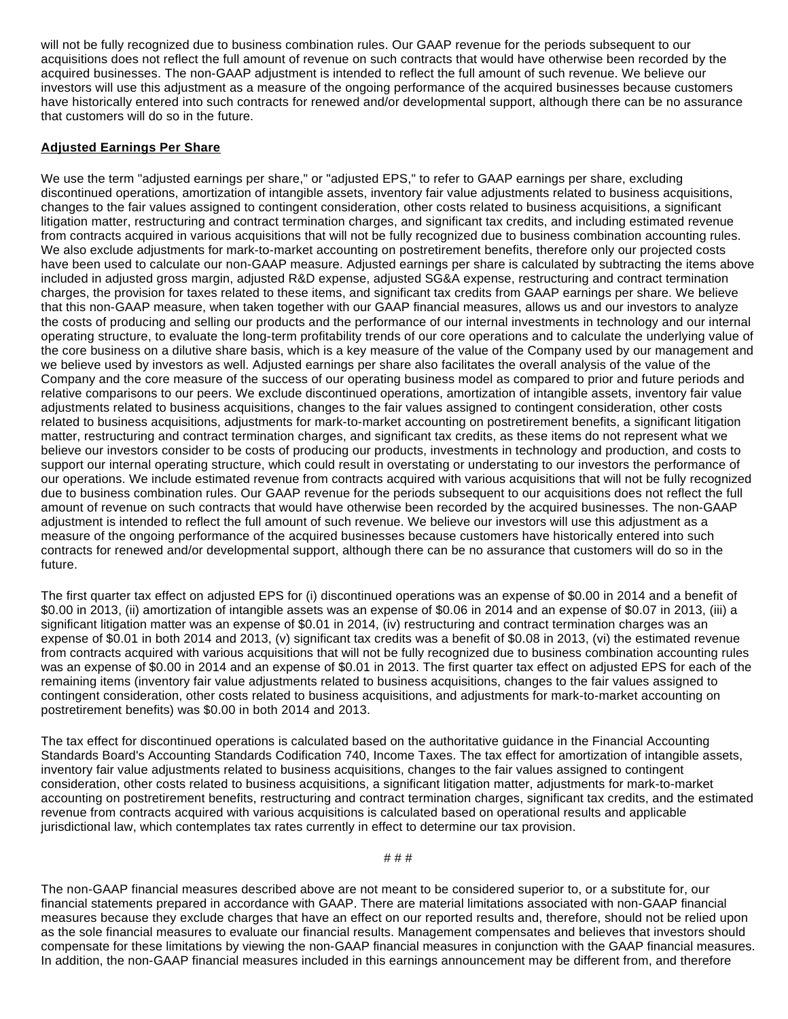will not be fully recognized due to business combination rules. Our GAAP revenue for the periods subsequent to our acquisitions does not reflect the full amount of revenue on such contracts that would have otherwise been recorded by the acquired businesses. The non-GAAP adjustment is intended to reflect the full amount of such revenue. We believe our investors will use this adjustment as a measure of the ongoing performance of the acquired businesses because customers have historically entered into such contracts for renewed and/or developmental support, although there can be no assurance that customers will do so in the future.

### **Adjusted Earnings Per Share**

We use the term "adjusted earnings per share," or "adjusted EPS," to refer to GAAP earnings per share, excluding discontinued operations, amortization of intangible assets, inventory fair value adjustments related to business acquisitions, changes to the fair values assigned to contingent consideration, other costs related to business acquisitions, a significant litigation matter, restructuring and contract termination charges, and significant tax credits, and including estimated revenue from contracts acquired in various acquisitions that will not be fully recognized due to business combination accounting rules. We also exclude adjustments for mark-to-market accounting on postretirement benefits, therefore only our projected costs have been used to calculate our non-GAAP measure. Adjusted earnings per share is calculated by subtracting the items above included in adjusted gross margin, adjusted R&D expense, adjusted SG&A expense, restructuring and contract termination charges, the provision for taxes related to these items, and significant tax credits from GAAP earnings per share. We believe that this non-GAAP measure, when taken together with our GAAP financial measures, allows us and our investors to analyze the costs of producing and selling our products and the performance of our internal investments in technology and our internal operating structure, to evaluate the long-term profitability trends of our core operations and to calculate the underlying value of the core business on a dilutive share basis, which is a key measure of the value of the Company used by our management and we believe used by investors as well. Adjusted earnings per share also facilitates the overall analysis of the value of the Company and the core measure of the success of our operating business model as compared to prior and future periods and relative comparisons to our peers. We exclude discontinued operations, amortization of intangible assets, inventory fair value adjustments related to business acquisitions, changes to the fair values assigned to contingent consideration, other costs related to business acquisitions, adjustments for mark-to-market accounting on postretirement benefits, a significant litigation matter, restructuring and contract termination charges, and significant tax credits, as these items do not represent what we believe our investors consider to be costs of producing our products, investments in technology and production, and costs to support our internal operating structure, which could result in overstating or understating to our investors the performance of our operations. We include estimated revenue from contracts acquired with various acquisitions that will not be fully recognized due to business combination rules. Our GAAP revenue for the periods subsequent to our acquisitions does not reflect the full amount of revenue on such contracts that would have otherwise been recorded by the acquired businesses. The non-GAAP adjustment is intended to reflect the full amount of such revenue. We believe our investors will use this adjustment as a measure of the ongoing performance of the acquired businesses because customers have historically entered into such contracts for renewed and/or developmental support, although there can be no assurance that customers will do so in the future.

The first quarter tax effect on adjusted EPS for (i) discontinued operations was an expense of \$0.00 in 2014 and a benefit of \$0.00 in 2013, (ii) amortization of intangible assets was an expense of \$0.06 in 2014 and an expense of \$0.07 in 2013, (iii) a significant litigation matter was an expense of \$0.01 in 2014, (iv) restructuring and contract termination charges was an expense of \$0.01 in both 2014 and 2013, (v) significant tax credits was a benefit of \$0.08 in 2013, (vi) the estimated revenue from contracts acquired with various acquisitions that will not be fully recognized due to business combination accounting rules was an expense of \$0.00 in 2014 and an expense of \$0.01 in 2013. The first quarter tax effect on adjusted EPS for each of the remaining items (inventory fair value adjustments related to business acquisitions, changes to the fair values assigned to contingent consideration, other costs related to business acquisitions, and adjustments for mark-to-market accounting on postretirement benefits) was \$0.00 in both 2014 and 2013.

The tax effect for discontinued operations is calculated based on the authoritative guidance in the Financial Accounting Standards Board's Accounting Standards Codification 740, Income Taxes. The tax effect for amortization of intangible assets, inventory fair value adjustments related to business acquisitions, changes to the fair values assigned to contingent consideration, other costs related to business acquisitions, a significant litigation matter, adjustments for mark-to-market accounting on postretirement benefits, restructuring and contract termination charges, significant tax credits, and the estimated revenue from contracts acquired with various acquisitions is calculated based on operational results and applicable jurisdictional law, which contemplates tax rates currently in effect to determine our tax provision.

# # #

The non-GAAP financial measures described above are not meant to be considered superior to, or a substitute for, our financial statements prepared in accordance with GAAP. There are material limitations associated with non-GAAP financial measures because they exclude charges that have an effect on our reported results and, therefore, should not be relied upon as the sole financial measures to evaluate our financial results. Management compensates and believes that investors should compensate for these limitations by viewing the non-GAAP financial measures in conjunction with the GAAP financial measures. In addition, the non-GAAP financial measures included in this earnings announcement may be different from, and therefore